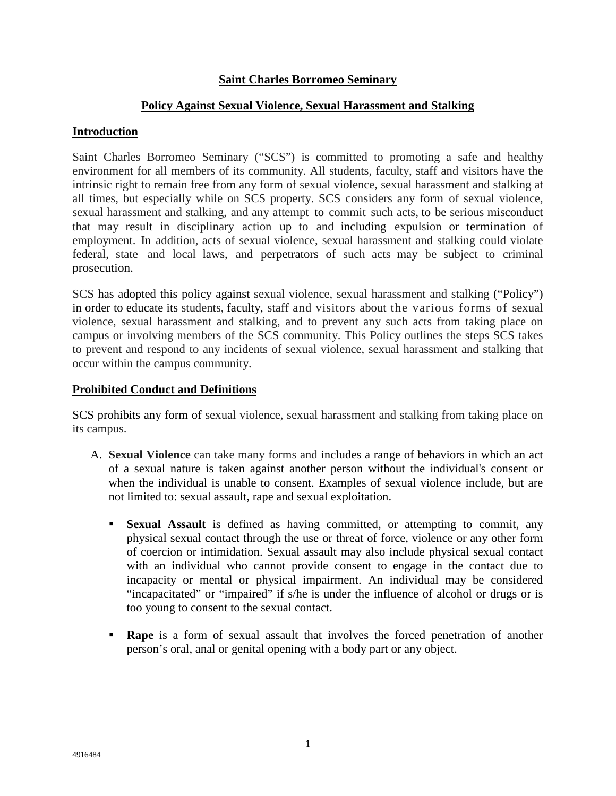## **Saint Charles Borromeo Seminary**

## **Policy Against Sexual Violence, Sexual Harassment and Stalking**

### **Introduction**

Saint Charles Borromeo Seminary ("SCS") is committed to promoting a safe and healthy environment for all members of its community. All students, faculty, staff and visitors have the intrinsic right to remain free from any form of sexual violence, sexual harassment and stalking at all times, but especially while on SCS property. SCS considers any form of sexual violence, sexual harassment and stalking, and any attempt to commit such acts, to be serious misconduct that may result in disciplinary action up to and including expulsion or termination of employment. In addition, acts of sexual violence, sexual harassment and stalking could violate federal, state and local laws, and perpetrators of such acts may be subject to criminal prosecution.

SCS has adopted this policy against sexual violence, sexual harassment and stalking ("Policy") in order to educate its students, faculty, staff and visitors about the various forms of sexual violence, sexual harassment and stalking, and to prevent any such acts from taking place on campus or involving members of the SCS community. This Policy outlines the steps SCS takes to prevent and respond to any incidents of sexual violence, sexual harassment and stalking that occur within the campus community.

#### **Prohibited Conduct and Definitions**

SCS prohibits any form of sexual violence, sexual harassment and stalking from taking place on its campus.

- A. **Sexual Violence** can take many forms and includes a range of behaviors in which an act of a sexual nature is taken against another person without the individual's consent or when the individual is unable to consent. Examples of sexual violence include, but are not limited to: sexual assault, rape and sexual exploitation.
	- **Sexual Assault** is defined as having committed, or attempting to commit, any physical sexual contact through the use or threat of force, violence or any other form of coercion or intimidation. Sexual assault may also include physical sexual contact with an individual who cannot provide consent to engage in the contact due to incapacity or mental or physical impairment. An individual may be considered "incapacitated" or "impaired" if s/he is under the influence of alcohol or drugs or is too young to consent to the sexual contact.
	- **Rape** is a form of sexual assault that involves the forced penetration of another person's oral, anal or genital opening with a body part or any object.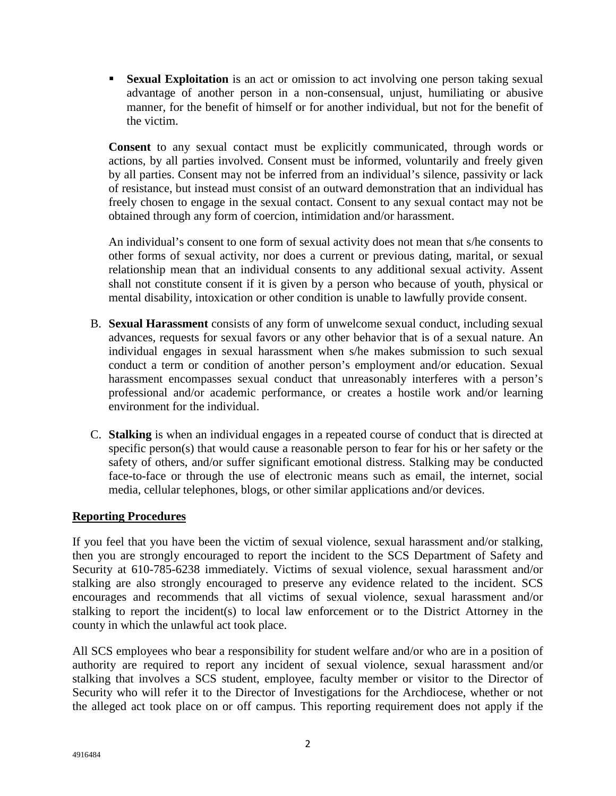**Sexual Exploitation** is an act or omission to act involving one person taking sexual advantage of another person in a non-consensual, unjust, humiliating or abusive manner, for the benefit of himself or for another individual, but not for the benefit of the victim.

**Consent** to any sexual contact must be explicitly communicated, through words or actions, by all parties involved. Consent must be informed, voluntarily and freely given by all parties. Consent may not be inferred from an individual's silence, passivity or lack of resistance, but instead must consist of an outward demonstration that an individual has freely chosen to engage in the sexual contact. Consent to any sexual contact may not be obtained through any form of coercion, intimidation and/or harassment.

An individual's consent to one form of sexual activity does not mean that s/he consents to other forms of sexual activity, nor does a current or previous dating, marital, or sexual relationship mean that an individual consents to any additional sexual activity. Assent shall not constitute consent if it is given by a person who because of youth, physical or mental disability, intoxication or other condition is unable to lawfully provide consent.

- B. **Sexual Harassment** consists of any form of unwelcome sexual conduct, including sexual advances, requests for sexual favors or any other behavior that is of a sexual nature. An individual engages in sexual harassment when s/he makes submission to such sexual conduct a term or condition of another person's employment and/or education. Sexual harassment encompasses sexual conduct that unreasonably interferes with a person's professional and/or academic performance, or creates a hostile work and/or learning environment for the individual.
- C. **Stalking** is when an individual engages in a repeated course of conduct that is directed at specific person(s) that would cause a reasonable person to fear for his or her safety or the safety of others, and/or suffer significant emotional distress. Stalking may be conducted face-to-face or through the use of electronic means such as email, the internet, social media, cellular telephones, blogs, or other similar applications and/or devices.

# **Reporting Procedures**

If you feel that you have been the victim of sexual violence, sexual harassment and/or stalking, then you are strongly encouraged to report the incident to the SCS Department of Safety and Security at 610-785-6238 immediately. Victims of sexual violence, sexual harassment and/or stalking are also strongly encouraged to preserve any evidence related to the incident. SCS encourages and recommends that all victims of sexual violence, sexual harassment and/or stalking to report the incident(s) to local law enforcement or to the District Attorney in the county in which the unlawful act took place.

All SCS employees who bear a responsibility for student welfare and/or who are in a position of authority are required to report any incident of sexual violence, sexual harassment and/or stalking that involves a SCS student, employee, faculty member or visitor to the Director of Security who will refer it to the Director of Investigations for the Archdiocese, whether or not the alleged act took place on or off campus. This reporting requirement does not apply if the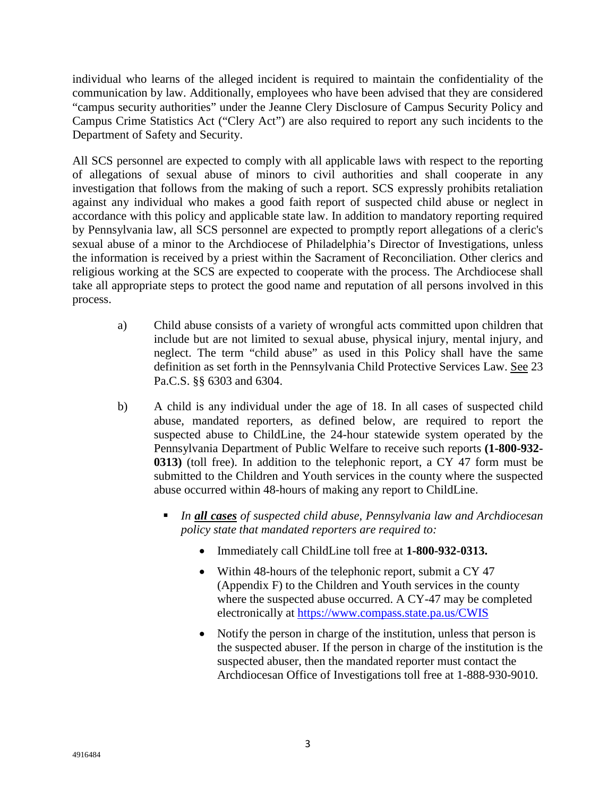individual who learns of the alleged incident is required to maintain the confidentiality of the communication by law. Additionally, employees who have been advised that they are considered "campus security authorities" under the Jeanne Clery Disclosure of Campus Security Policy and Campus Crime Statistics Act ("Clery Act") are also required to report any such incidents to the Department of Safety and Security.

All SCS personnel are expected to comply with all applicable laws with respect to the reporting of allegations of sexual abuse of minors to civil authorities and shall cooperate in any investigation that follows from the making of such a report. SCS expressly prohibits retaliation against any individual who makes a good faith report of suspected child abuse or neglect in accordance with this policy and applicable state law. In addition to mandatory reporting required by Pennsylvania law, all SCS personnel are expected to promptly report allegations of a cleric's sexual abuse of a minor to the Archdiocese of Philadelphia's Director of Investigations, unless the information is received by a priest within the Sacrament of Reconciliation. Other clerics and religious working at the SCS are expected to cooperate with the process. The Archdiocese shall take all appropriate steps to protect the good name and reputation of all persons involved in this process.

- a) Child abuse consists of a variety of wrongful acts committed upon children that include but are not limited to sexual abuse, physical injury, mental injury, and neglect. The term "child abuse" as used in this Policy shall have the same definition as set forth in the Pennsylvania Child Protective Services Law. See 23 Pa.C.S. §§ 6303 and 6304.
- b) A child is any individual under the age of 18. In all cases of suspected child abuse, mandated reporters, as defined below, are required to report the suspected abuse to ChildLine, the 24-hour statewide system operated by the Pennsylvania Department of Public Welfare to receive such reports **(1-800-932- 0313)** (toll free). In addition to the telephonic report, a CY 47 form must be submitted to the Children and Youth services in the county where the suspected abuse occurred within 48-hours of making any report to ChildLine.
	- *In all cases of suspected child abuse, Pennsylvania law and Archdiocesan policy state that mandated reporters are required to:*
		- Immediately call ChildLine toll free at **1-800-932-0313.**
		- Within 48-hours of the telephonic report, submit a CY 47 (Appendix F) to the Children and Youth services in the county where the suspected abuse occurred. A CY-47 may be completed electronically at <https://www.compass.state.pa.us/CWIS>
		- Notify the person in charge of the institution, unless that person is the suspected abuser. If the person in charge of the institution is the suspected abuser, then the mandated reporter must contact the Archdiocesan Office of Investigations toll free at 1-888-930-9010.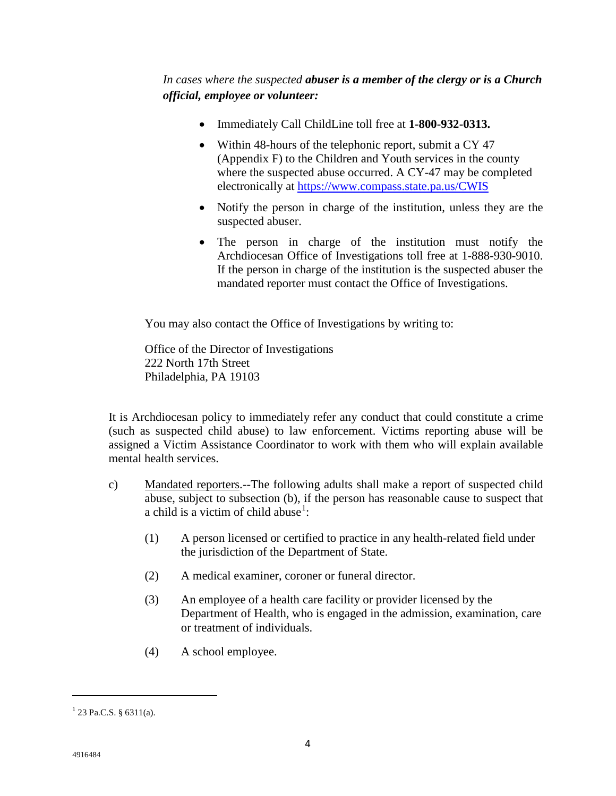*In cases where the suspected abuser is a member of the clergy or is a Church official, employee or volunteer:*

- Immediately Call ChildLine toll free at **1-800-932-0313.**
- Within 48-hours of the telephonic report, submit a CY 47 (Appendix F) to the Children and Youth services in the county where the suspected abuse occurred. A CY-47 may be completed electronically at<https://www.compass.state.pa.us/CWIS>
- Notify the person in charge of the institution, unless they are the suspected abuser.
- The person in charge of the institution must notify the Archdiocesan Office of Investigations toll free at 1-888-930-9010. If the person in charge of the institution is the suspected abuser the mandated reporter must contact the Office of Investigations.

You may also contact the Office of Investigations by writing to:

Office of the Director of Investigations 222 North 17th Street Philadelphia, PA 19103

It is Archdiocesan policy to immediately refer any conduct that could constitute a crime (such as suspected child abuse) to law enforcement. Victims reporting abuse will be assigned a Victim Assistance Coordinator to work with them who will explain available mental health services.

- c) Mandated reporters.--The following adults shall make a report of suspected child abuse, subject to subsection (b), if the person has reasonable cause to suspect that a child is a victim of child abuse<sup>[1](#page-3-0)</sup>:
	- (1) A person licensed or certified to practice in any health-related field under the jurisdiction of the Department of State.
	- (2) A medical examiner, coroner or funeral director.
	- (3) An employee of a health care facility or provider licensed by the Department of Health, who is engaged in the admission, examination, care or treatment of individuals.
	- (4) A school employee.

l

<span id="page-3-0"></span> $1$  23 Pa.C.S. § 6311(a).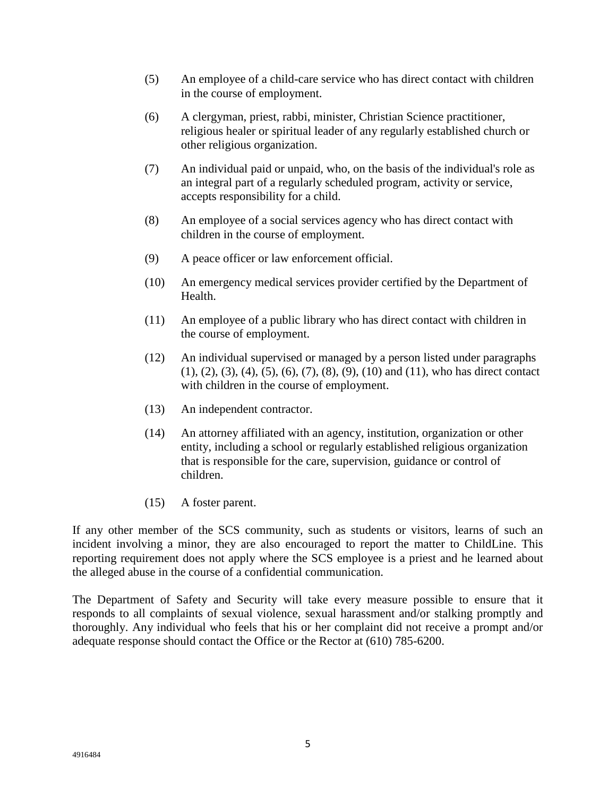- (5) An employee of a child-care service who has direct contact with children in the course of employment.
- (6) A clergyman, priest, rabbi, minister, Christian Science practitioner, religious healer or spiritual leader of any regularly established church or other religious organization.
- (7) An individual paid or unpaid, who, on the basis of the individual's role as an integral part of a regularly scheduled program, activity or service, accepts responsibility for a child.
- (8) An employee of a social services agency who has direct contact with children in the course of employment.
- (9) A peace officer or law enforcement official.
- (10) An emergency medical services provider certified by the Department of Health.
- (11) An employee of a public library who has direct contact with children in the course of employment.
- (12) An individual supervised or managed by a person listed under paragraphs (1), (2), (3), (4), (5), (6), (7), (8), (9), (10) and (11), who has direct contact with children in the course of employment.
- (13) An independent contractor.
- (14) An attorney affiliated with an agency, institution, organization or other entity, including a school or regularly established religious organization that is responsible for the care, supervision, guidance or control of children.
- (15) A foster parent.

If any other member of the SCS community, such as students or visitors, learns of such an incident involving a minor, they are also encouraged to report the matter to ChildLine. This reporting requirement does not apply where the SCS employee is a priest and he learned about the alleged abuse in the course of a confidential communication.

The Department of Safety and Security will take every measure possible to ensure that it responds to all complaints of sexual violence, sexual harassment and/or stalking promptly and thoroughly. Any individual who feels that his or her complaint did not receive a prompt and/or adequate response should contact the Office or the Rector at (610) 785-6200.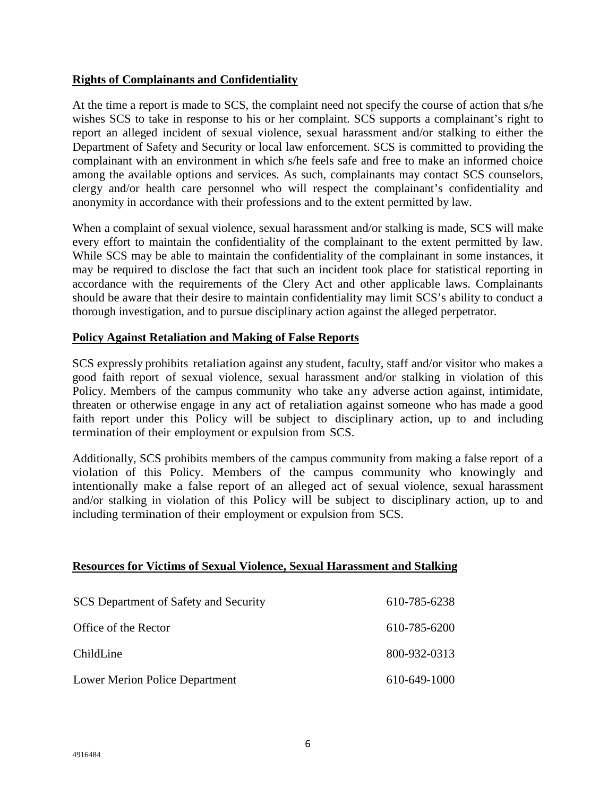# **Rights of Complainants and Confidentiality**

At the time a report is made to SCS, the complaint need not specify the course of action that s/he wishes SCS to take in response to his or her complaint. SCS supports a complainant's right to report an alleged incident of sexual violence, sexual harassment and/or stalking to either the Department of Safety and Security or local law enforcement. SCS is committed to providing the complainant with an environment in which s/he feels safe and free to make an informed choice among the available options and services. As such, complainants may contact SCS counselors, clergy and/or health care personnel who will respect the complainant's confidentiality and anonymity in accordance with their professions and to the extent permitted by law.

When a complaint of sexual violence, sexual harassment and/or stalking is made, SCS will make every effort to maintain the confidentiality of the complainant to the extent permitted by law. While SCS may be able to maintain the confidentiality of the complainant in some instances, it may be required to disclose the fact that such an incident took place for statistical reporting in accordance with the requirements of the Clery Act and other applicable laws. Complainants should be aware that their desire to maintain confidentiality may limit SCS's ability to conduct a thorough investigation, and to pursue disciplinary action against the alleged perpetrator.

# **Policy Against Retaliation and Making of False Reports**

SCS expressly prohibits retaliation against any student, faculty, staff and/or visitor who makes a good faith report of sexual violence, sexual harassment and/or stalking in violation of this Policy. Members of the campus community who take any adverse action against, intimidate, threaten or otherwise engage in any act of retaliation against someone who has made a good faith report under this Policy will be subject to disciplinary action, up to and including termination of their employment or expulsion from SCS.

Additionally, SCS prohibits members of the campus community from making a false report of a violation of this Policy. Members of the campus community who knowingly and intentionally make a false report of an alleged act of sexual violence, sexual harassment and/or stalking in violation of this Policy will be subject to disciplinary action, up to and including termination of their employment or expulsion from SCS.

## **Resources for Victims of Sexual Violence, Sexual Harassment and Stalking**

| SCS Department of Safety and Security | 610-785-6238 |
|---------------------------------------|--------------|
| Office of the Rector                  | 610-785-6200 |
| ChildLine                             | 800-932-0313 |
| Lower Merion Police Department        | 610-649-1000 |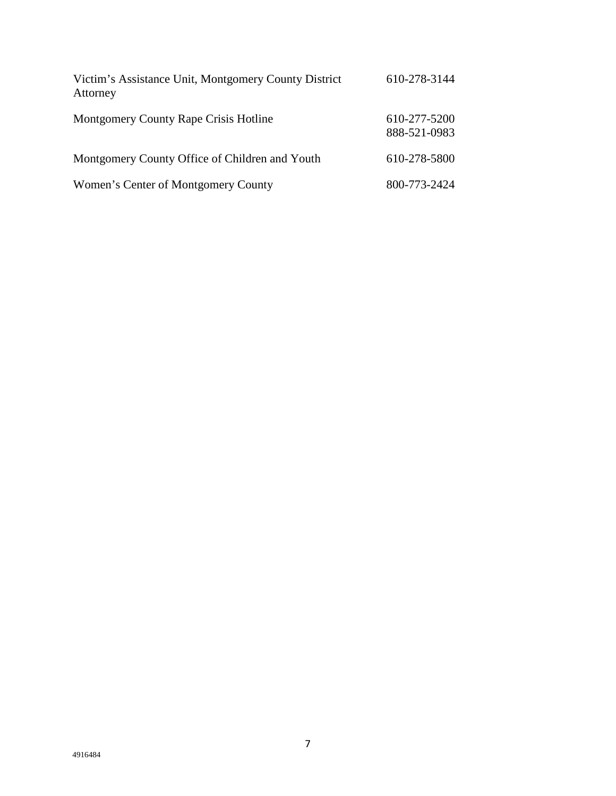| Victim's Assistance Unit, Montgomery County District<br>Attorney | 610-278-3144                 |
|------------------------------------------------------------------|------------------------------|
| Montgomery County Rape Crisis Hotline                            | 610-277-5200<br>888-521-0983 |
| Montgomery County Office of Children and Youth                   | 610-278-5800                 |
| Women's Center of Montgomery County                              | 800-773-2424                 |